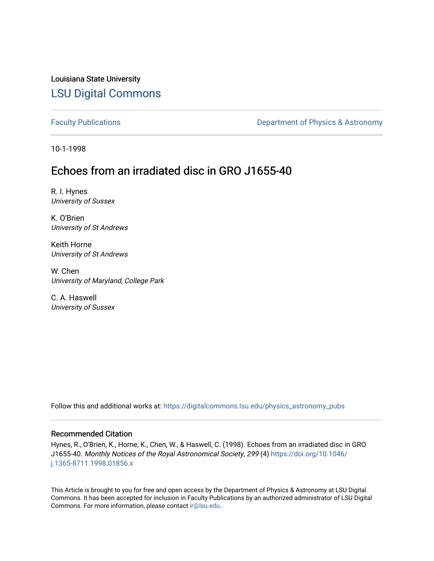Louisiana State University [LSU Digital Commons](https://digitalcommons.lsu.edu/)

[Faculty Publications](https://digitalcommons.lsu.edu/physics_astronomy_pubs) **Exercise 2 and Table 2 and Table 2 and Table 2 and Table 2 and Table 2 and Table 2 and Table 2 and Table 2 and Table 2 and Table 2 and Table 2 and Table 2 and Table 2 and Table 2 and Table 2 and Table** 

10-1-1998

# Echoes from an irradiated disc in GRO J1655-40

R. I. Hynes University of Sussex

K. O'Brien University of St Andrews

Keith Horne University of St Andrews

W. Chen University of Maryland, College Park

C. A. Haswell University of Sussex

Follow this and additional works at: [https://digitalcommons.lsu.edu/physics\\_astronomy\\_pubs](https://digitalcommons.lsu.edu/physics_astronomy_pubs?utm_source=digitalcommons.lsu.edu%2Fphysics_astronomy_pubs%2F2672&utm_medium=PDF&utm_campaign=PDFCoverPages) 

## Recommended Citation

Hynes, R., O'Brien, K., Horne, K., Chen, W., & Haswell, C. (1998). Echoes from an irradiated disc in GRO J1655-40. Monthly Notices of the Royal Astronomical Society, 299 (4) [https://doi.org/10.1046/](https://doi.org/10.1046/j.1365-8711.1998.01856.x) [j.1365-8711.1998.01856.x](https://doi.org/10.1046/j.1365-8711.1998.01856.x) 

This Article is brought to you for free and open access by the Department of Physics & Astronomy at LSU Digital Commons. It has been accepted for inclusion in Faculty Publications by an authorized administrator of LSU Digital Commons. For more information, please contact [ir@lsu.edu](mailto:ir@lsu.edu).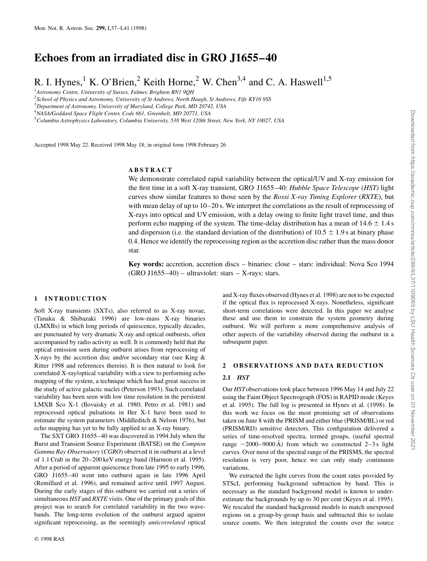## **Echoes from an irradiated disc in GRO J1655–40**

R. I. Hynes,<sup>1</sup> K. O'Brien,<sup>2</sup> Keith Horne,<sup>2</sup> W. Chen<sup>3,4</sup> and C. A. Haswell<sup>1,5</sup>

1 *Astronomy Centre, University of Sussex, Falmer, Brighton BN1 9QH*

2 *School of Physics and Astronomy, University of St Andrews, North Haugh, St Andrews, Fife KY16 9SS*

3 *Department of Astronomy, University of Maryland, College Park, MD 20742, USA*

4 *NASA/Goddard Space Flight Center, Code 661, Greenbelt, MD 20771, USA*

5 *Columbia Astrophysics Laboratory, Columbia University, 538 West 120th Street, New York, NY 10027, USA*

Accepted 1998 May 22. Received 1998 May 18; in original form 1998 February 26

#### **ABSTRACT**

We demonstrate correlated rapid variability between the optical/UV and X-ray emission for the first time in a soft X-ray transient, GRO J1655–40: *Hubble Space Telescope* (*HST)* light curves show similar features to those seen by the *Rossi X-ray Timing Explorer* (*RXTE*), but with mean delay of up to 10–20 s. We interpret the correlations as the result of reprocessing of X-rays into optical and UV emission, with a delay owing to finite light travel time, and thus perform echo mapping of the system. The time-delay distribution has a mean of  $14.6 \pm 1.4$  s and dispersion (i.e. the standard deviation of the distribution) of  $10.5 \pm 1.9$  s at binary phase 0.4. Hence we identify the reprocessing region as the accretion disc rather than the mass donor star.

**Key words:** accretion, accretion discs – binaries: close – stars: individual: Nova Sco 1994  $(GRO J1655-40)$  – ultraviolet: stars – X-rays: stars.

#### **1 INTRODUCTION**

Soft X-ray transients (SXTs), also referred to as X-ray novae, (Tanaka & Shibazaki 1996) are low-mass X-ray binaries (LMXBs) in which long periods of quiescence, typically decades, are punctuated by very dramatic X-ray and optical outbursts, often accompanied by radio activity as well. It is commonly held that the optical emission seen during outburst arises from reprocessing of X-rays by the accretion disc and/or secondary star (see King & Ritter 1998 and references therein). It is then natural to look for correlated X-ray/optical variability with a view to performing echo mapping of the system, a technique which has had great success in the study of active galactic nuclei (Peterson 1993). Such correlated variability has been seen with low time resolution in the persistent LMXB Sco X-1 (Ilovaisky et al. 1980; Petro et al. 1981) and reprocessed optical pulsations in Her X-1 have been used to estimate the system parameters (Middleditch & Nelson 1976), but echo mapping has yet to be fully applied to an X-ray binary.

The SXT GRO J1655–40 was discovered in 1994 July when the Burst and Transient Source Experiment (BATSE) on the *Compton Gamma Ray Observatory* (*CGRO*) observed it in outburst at a level of 1.1 Crab in the 20–200 keV energy band (Harmon et al. 1995). After a period of apparent quiescence from late 1995 to early 1996, GRO J1655–40 went into outburst again in late 1996 April (Remillard et al. 1996), and remained active until 1997 August. During the early stages of this outburst we carried out a series of simultaneous *HST*and *RXTE* visits. One of the primary goals of this project was to search for correlated variability in the two wavebands. The long-term evolution of the outburst argued against significant reprocessing, as the seemingly *anticorrelated* optical

© 1998 RAS

and X-ray fluxes observed (Hynes et al. 1998) are not to be expected if the optical flux is reprocessed X-rays. Nonetheless, significant short-term correlations were detected. In this paper we analyse these and use them to constrain the system geometry during outburst. We will perform a more comprehensive analysis of other aspects of the variability observed during the outburst in a subsequent paper.

#### 2 OBSERVATIONS AND DATA REDUCTION

#### **2.1** *HST*

Our *HST*observations took place between 1996 May 14 and July 22 using the Faint Object Spectrograph (FOS) in RAPID mode (Keyes et al. 1995). The full log is presented in Hynes et al. (1998). In this work we focus on the most promising set of observations taken on June 8 with the PRISM and either blue (PRISM/BL) or red (PRISM/RD) sensitive detectors. This configuration delivered a series of time-resolved spectra, termed groups, (useful spectral range  $\sim$ 2000–9000 Å) from which we constructed 2–3 s light curves. Over most of the spectral range of the PRISMS, the spectral resolution is very poor, hence we can only study continuum variations.

We extracted the light curves from the count rates provided by STScI, performing background subtraction by hand. This is necessary as the standard background model is known to underestimate the backgrounds by up to 30 per cent (Keyes et al. 1995). We rescaled the standard background models to match unexposed regions on a group-by-group basis and subtracted this to isolate source counts. We then integrated the counts over the source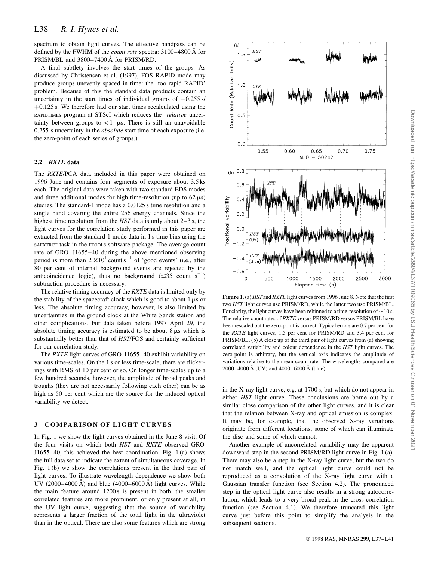spectrum to obtain light curves. The effective bandpass can be defined by the FWHM of the *count rate* spectra: 3100–4800 A for PRISM/BL and 3800-7400 Å for PRISM/RD.

A final subtlety involves the start times of the groups. As discussed by Christensen et al. (1997), FOS RAPID mode may produce groups unevenly spaced in time: the 'too rapid RAPID' problem. Because of this the standard data products contain an uncertainty in the start times of individual groups of  $-0.255$  s/  $+0.125$  s. We therefore had our start times recalculated using the RAPIDTIMES program at STScI which reduces the *relative* uncertainty between groups to  $< 1$   $\mu$ s. There is still an unavoidable 0.255-s uncertainty in the *absolute* start time of each exposure (i.e. the zero-point of each series of groups.)

## **2.2** *RXTE* **data**

The *RXTE*/PCA data included in this paper were obtained on 1996 June and contains four segments of exposure about 3.5 ks each. The original data were taken with two standard EDS modes and three additional modes for high time-resolution (up to  $62 \mu s$ ) studies. The standard-1 mode has a 0.0125 s time resolution and a single band covering the entire 256 energy channels. Since the highest time resolution from the *HST* data is only about 2–3 s, the light curves for the correlation study performed in this paper are extracted from the standard-1 mode data in 1 s time bins using the SAEXTRCT task in the FTOOLS software package. The average count rate of GRO J1655–40 during the above mentioned observing period is more than  $2 \times 10^4$  count s<sup>-1</sup> of 'good events' (i.e., after 80 per cent of internal background events are rejected by the anticoincidence logic), thus no background  $(\leq 35 \text{ count s}^{-1})$ subtraction procedure is necessary.

The relative timing accuracy of the *RXTE* data is limited only by the stability of the spacecraft clock which is good to about  $1 \mu s$  or less. The absolute timing accuracy, however, is also limited by uncertainties in the ground clock at the White Sands station and other complications. For data taken before 1997 April 29, the absolute timing accuracy is estimated to be about  $8 \mu s$  which is substantially better than that of *HST*/FOS and certainly sufficient for our correlation study.

The *RXTE* light curves of GRO J1655–40 exhibit variability on various time-scales. On the 1 s or less time-scale, there are flickerings with RMS of 10 per cent or so. On longer time-scales up to a few hundred seconds, however, the amplitude of broad peaks and troughs (they are not necessarily following each other) can be as high as 50 per cent which are the source for the induced optical variability we detect.

## **3 COMPARISON OF LIGHT CURVES**

In Fig. 1 we show the light curves obtained in the June 8 visit. Of the four visits on which both *HST* and *RXTE* observed GRO J1655–40, this achieved the best coordination. Fig. 1 (a) shows the full data set to indicate the extent of simultaneous coverage. In Fig. 1 (b) we show the correlations present in the third pair of light curves. To illustrate wavelength dependence we show both UV  $(2000-4000 \text{ A})$  and blue  $(4000-6000 \text{ A})$  light curves. While the main feature around 1200 s is present in both, the smaller correlated features are more prominent, or only present at all, in the UV light curve, suggesting that the source of variability represents a larger fraction of the total light in the ultraviolet than in the optical. There are also some features which are strong



**Figure 1.** (a) *HST*and *RXTE* light curves from 1996 June 8. Note that the first two *HST* light curves use PRISM/RD, while the latter two use PRISM/BL. For clarity, the light curves have been rebinned to a time-resolution of  $\sim$  10 s. The relative count rates of *RXTE* versus PRISM/RD versus PRISM/BL have been rescaled but the zero-point is correct. Typical errors are 0.7 per cent for the *RXTE* light curves, 1.5 per cent for PRISM/RD and 3.4 per cent for PRISM/BL. (b) A close up of the third pair of light curves from (a) showing correlated variability and colour dependence in the *HST* light curves. The zero-point is arbitrary, but the vertical axis indicates the amplitude of variations relative to the mean count rate. The wavelengths compared are  $2000-4000 \text{ Å}$  (UV) and  $4000-6000 \text{ Å}$  (blue).

in the X-ray light curve, e.g. at 1700 s, but which do not appear in either *HST* light curve. These conclusions are borne out by a similar close comparison of the other light curves, and it is clear that the relation between X-ray and optical emission is complex. It may be, for example, that the observed X-ray variations originate from different locations, some of which can illuminate the disc and some of which cannot.

Another example of uncorrelated variability may the apparent downward step in the second PRISM/RD light curve in Fig. 1 (a). There may also be a step in the X-ray light curve, but the two do not match well, and the optical light curve could not be reproduced as a convolution of the X-ray light curve with a Gaussian transfer function (see Section 4.2). The pronounced step in the optical light curve also results in a strong autocorrelation, which leads to a very broad peak in the cross-correlation function (see Section 4.1). We therefore truncated this light curve just before this point to simplify the analysis in the subsequent sections.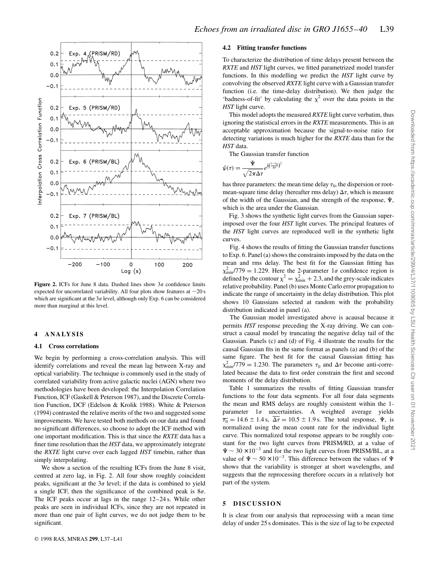

**Figure 2.** ICFs for June 8 data. Dashed lines show  $3\sigma$  confidence limits expected for uncorrelated variability. All four plots show features at  $\sim$ 20 s which are significant at the  $3\sigma$  level, although only Exp. 6 can be considered more than marginal at this level.

#### **4 ANALYSIS**

#### **4.1 Cross correlations**

We begin by performing a cross-correlation analysis. This will identify correlations and reveal the mean lag between X-ray and optical variability. The technique is commonly used in the study of correlated variability from active galactic nuclei (AGN) where two methodologies have been developed: the Interpolation Correlation Function, ICF (Gaskell & Peterson 1987), and the Discrete Correlation Function, DCF (Edelson & Krolik 1988). White & Peterson (1994) contrasted the relative merits of the two and suggested some improvements. We have tested both methods on our data and found no significant differences, so choose to adopt the ICF method with one important modification. This is that since the *RXTE* data has a finer time resolution than the *HST* data, we approximately integrate the *RXTE* light curve over each lagged *HST* timebin, rather than simply interpolating.

We show a section of the resulting ICFs from the June 8 visit, centred at zero lag, in Fig. 2. All four show roughly coincident peaks, significant at the  $3\sigma$  level; if the data is combined to yield a single ICF, then the significance of the combined peak is  $8\sigma$ . The ICF peaks occur at lags in the range 12–24 s. While other peaks are seen in individual ICFs, since they are not repeated in more than one pair of light curves, we do not judge them to be significant.

#### **4.2 Fitting transfer functions**

To characterize the distribution of time delays present between the *RXTE* and *HST* light curves, we fitted parametrized model transfer functions. In this modelling we predict the *HST* light curve by convolving the observed *RXTE* light curve with a Gaussian transfer function (i.e. the time-delay distribution). We then judge the 'badness-of-fit' by calculating the  $\chi^2$  over the data points in the *HST* light curve.

This model adopts the measured *RXTE* light curve verbatim, thus ignoring the statistical errors in the *RXTE* measurements. This is an acceptable approximation because the signal-to-noise ratio for detecting variations is much higher for the *RXTE* data than for the *HST* data.

The Gaussian transfer function

2

$$
\psi(\tau) = \frac{\Psi}{\sqrt{2\pi\Delta\tau}} e^{\frac{1}{2}(\frac{\tau-\tau_0}{\Delta\tau})}
$$

has three parameters: the mean time delay  $\tau_0$ , the dispersion or rootmean-square time delay (hereafter rms delay)  $\Delta \tau$ , which is measure of the width of the Gaussian, and the strength of the response,  $\Psi$ , which is the area under the Gaussian.

Fig. 3 shows the synthetic light curves from the Gaussian superimposed over the four *HST* light curves. The principal features of the *HST* light curves are reproduced well in the synthetic light curves.

Fig. 4 shows the results of fitting the Gaussian transfer functions to Exp. 6. Panel (a) shows the constraints imposed by the data on the mean and rms delay. The best fit for the Gaussian fitting has  $\chi^2_{\text{min}}/779 = 1.229$ . Here the 2-parameter 1<sub>0</sub> confidence region is defined by the contour  $\chi^2 = \chi^2_{\text{min}} + 2.3$ , and the grey-scale indicates relative probability. Panel (b) uses Monte Carlo error propagation to indicate the range of uncertainty in the delay distribution. This plot shows 10 Gaussians selected at random with the probability distribution indicated in panel (a).

The Gaussian model investigated above is acausal because it permits *HST* response preceding the X-ray driving. We can construct a causal model by truncating the negative delay tail of the Gaussian. Panels (c) and (d) of Fig. 4 illustrate the results for the causal Gaussian fits in the same format as panels (a) and (b) of the same figure. The best fit for the causal Gaussian fitting has  $\chi^2_{\text{min}}/779 = 1.230$ . The parameters  $\tau_0$  and  $\Delta \tau$  become anti-correlated because the data to first order constrain the first and second moments of the delay distribution.

Table 1 summarizes the results of fitting Gaussian transfer functions to the four data segments. For all four data segments the mean and RMS delays are roughly consistent within the 1 parameter  $1\sigma$  uncertainties. A weighted average yields  $\overline{\tau_0}$  = 14.6  $\pm$  1.4 s,  $\overline{\Delta \tau}$  = 10.5  $\pm$  1.9 s. The total response,  $\Psi$ , is normalized using the mean count rate for the individual light curve. This normalized total response appears to be roughly constant for the two light curves from PRISM/RD, at a value of  $\Psi \sim 30 \times 10^{-3}$  and for the two light curves from PRISM/BL, at a value of  $\Psi \sim 50 \times 10^{-3}$ . This difference between the values of  $\Psi$ shows that the variability is stronger at short wavelengths, and suggests that the reprocessing therefore occurs in a relatively hot part of the system.

## **5 DISCUSSION**

It is clear from our analysis that reprocessing with a mean time delay of under 25 s dominates. This is the size of lag to be expected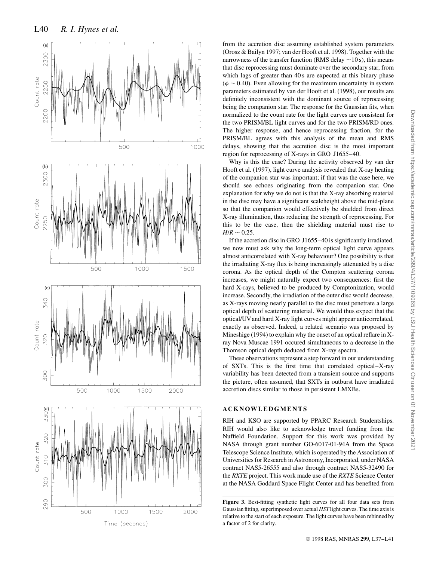

from the accretion disc assuming established system parameters (Orosz & Bailyn 1997; van der Hooft et al. 1998). Together with the narrowness of the transfer function (RMS delay  $\sim$  10 s), this means that disc reprocessing must dominate over the secondary star, from which lags of greater than 40 s are expected at this binary phase ( $\phi \sim 0.40$ ). Even allowing for the maximum uncertainty in system parameters estimated by van der Hooft et al. (1998), our results are definitely inconsistent with the dominant source of reprocessing being the companion star. The response for the Gaussian fits, when normalized to the count rate for the light curves are consistent for the two PRISM/BL light curves and for the two PRISM/RD ones. The higher response, and hence reprocessing fraction, for the PRISM/BL agrees with this analysis of the mean and RMS delays, showing that the accretion disc is the most important region for reprocessing of X-rays in GRO J1655–40.

Why is this the case? During the activity observed by van der Hooft et al. (1997), light curve analysis revealed that X-ray heating of the companion star was important; if that was the case here, we should see echoes originating from the companion star. One explanation for why we do not is that the X-ray absorbing material in the disc may have a significant scaleheight above the mid-plane so that the companion would effectively be shielded from direct X-ray illumination, thus reducing the strength of reprocessing. For this to be the case, then the shielding material must rise to  $H/R \sim 0.25$ .

If the accretion disc in GRO J1655–40 is significantly irradiated, we now must ask why the long-term optical light curve appears almost anticorrelated with X-ray behaviour? One possibility is that the irradiating X-ray flux is being increasingly attenuated by a disc corona. As the optical depth of the Compton scattering corona increases, we might naturally expect two consequences: first the hard X-rays, believed to be produced by Comptonization, would increase. Secondly, the irradiation of the outer disc would decrease, as X-rays moving nearly parallel to the disc must penetrate a large optical depth of scattering material. We would thus expect that the optical/UVand hard X-ray light curves might appear anticorrelated, exactly as observed. Indeed, a related scenario was proposed by Mineshige (1994) to explain why the onset of an optical reflare in Xray Nova Muscae 1991 occured simultaneous to a decrease in the Thomson optical depth deduced from X-ray spectra.

These observations represent a step forward in our understanding of SXTs. This is the first time that correlated optical–X-ray variability has been detected from a transient source and supports the picture, often assumed, that SXTs in outburst have irradiated accretion discs similar to those in persistent LMXBs.

## **ACKNOWLEDGMENTS**

RIH and KSO are supported by PPARC Research Studentships. RIH would also like to acknowledge travel funding from the Nuffield Foundation. Support for this work was provided by NASA through grant number GO-6017-01-94A from the Space Telescope Science Institute, which is operated by the Association of Universities for Research in Astronomy, Incorporated, under NASA contract NAS5-26555 and also through contract NAS5-32490 for the *RXTE* project. This work made use of the *RXTE* Science Center at the NASA Goddard Space Flight Center and has benefited from

**Figure 3.** Best-fitting synthetic light curves for all four data sets from Gaussian fitting, superimposed over actual *HST* light curves. The time axis is relative to the start of each exposure. The light curves have been rebinned by a factor of 2 for clarity.